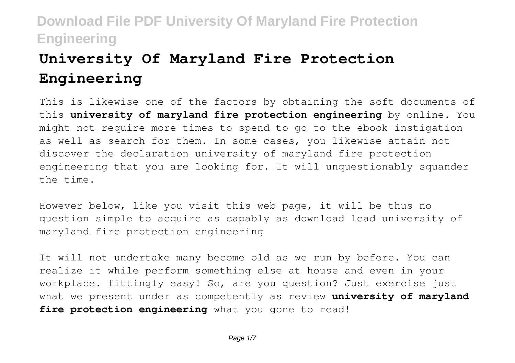# **University Of Maryland Fire Protection Engineering**

This is likewise one of the factors by obtaining the soft documents of this **university of maryland fire protection engineering** by online. You might not require more times to spend to go to the ebook instigation as well as search for them. In some cases, you likewise attain not discover the declaration university of maryland fire protection engineering that you are looking for. It will unquestionably squander the time.

However below, like you visit this web page, it will be thus no question simple to acquire as capably as download lead university of maryland fire protection engineering

It will not undertake many become old as we run by before. You can realize it while perform something else at house and even in your workplace. fittingly easy! So, are you question? Just exercise just what we present under as competently as review **university of maryland** fire protection engineering what you gone to read!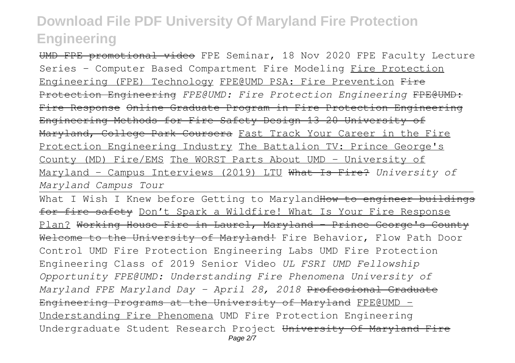UMD FPE promotional video FPE Seminar, 18 Nov 2020 FPE Faculty Lecture Series - Computer Based Compartment Fire Modeling Fire Protection Engineering (FPE) Technology FPE@UMD PSA: Fire Prevention Fire Protection Engineering *FPE@UMD: Fire Protection Engineering* FPE@UMD: Fire Response Online Graduate Program in Fire Protection Engineering Engineering Methods for Fire Safety Design 13 20 University of Maryland, College Park Coursera Fast Track Your Career in the Fire Protection Engineering Industry The Battalion TV: Prince George's County (MD) Fire/EMS The WORST Parts About UMD - University of Maryland - Campus Interviews (2019) LTU What Is Fire? *University of Maryland Campus Tour*

What I Wish I Knew before Getting to Maryland<del>How to engineer buildings</del> for fire safety Don't Spark a Wildfire! What Is Your Fire Response Plan? Working House Fire in Laurel, Maryland - Prince George's County Welcome to the University of Maryland! Fire Behavior, Flow Path Door Control UMD Fire Protection Engineering Labs UMD Fire Protection Engineering Class of 2019 Senior Video *UL FSRI UMD Fellowship Opportunity FPE@UMD: Understanding Fire Phenomena University of Maryland FPE Maryland Day - April 28, 2018* Professional Graduate Engineering Programs at the University of Maryland FPE@UMD -Understanding Fire Phenomena UMD Fire Protection Engineering Undergraduate Student Research Project University Of Maryland Fire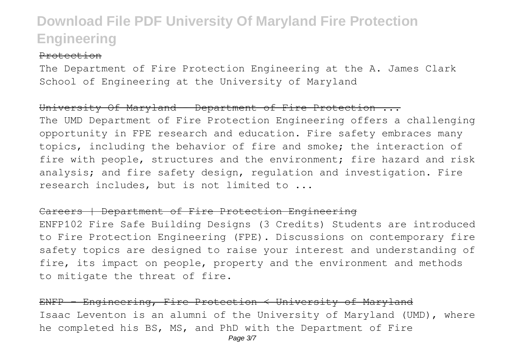#### Protection

The Department of Fire Protection Engineering at the A. James Clark School of Engineering at the University of Maryland

### University Of Maryland - Department of Fire Protection ...

The UMD Department of Fire Protection Engineering offers a challenging opportunity in FPE research and education. Fire safety embraces many topics, including the behavior of fire and smoke; the interaction of fire with people, structures and the environment; fire hazard and risk analysis; and fire safety design, regulation and investigation. Fire research includes, but is not limited to ...

#### Careers | Department of Fire Protection Engineering

ENFP102 Fire Safe Building Designs (3 Credits) Students are introduced to Fire Protection Engineering (FPE). Discussions on contemporary fire safety topics are designed to raise your interest and understanding of fire, its impact on people, property and the environment and methods to mitigate the threat of fire.

ENFP - Engineering, Fire Protection < University of Maryland Isaac Leventon is an alumni of the University of Maryland (UMD), where he completed his BS, MS, and PhD with the Department of Fire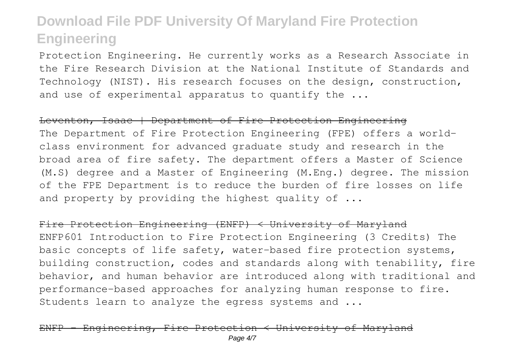Protection Engineering. He currently works as a Research Associate in the Fire Research Division at the National Institute of Standards and Technology (NIST). His research focuses on the design, construction, and use of experimental apparatus to quantify the ...

#### Leventon, Isaac | Department of Fire Protection Engineering

The Department of Fire Protection Engineering (FPE) offers a worldclass environment for advanced graduate study and research in the broad area of fire safety. The department offers a Master of Science (M.S) degree and a Master of Engineering (M.Eng.) degree. The mission of the FPE Department is to reduce the burden of fire losses on life and property by providing the highest quality of ...

Fire Protection Engineering (ENFP) < University of Maryland ENFP601 Introduction to Fire Protection Engineering (3 Credits) The basic concepts of life safety, water-based fire protection systems, building construction, codes and standards along with tenability, fire behavior, and human behavior are introduced along with traditional and performance-based approaches for analyzing human response to fire. Students learn to analyze the egress systems and ...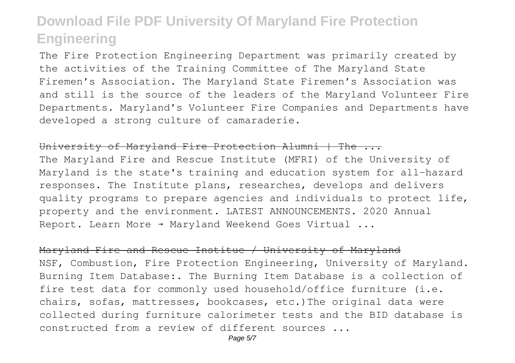The Fire Protection Engineering Department was primarily created by the activities of the Training Committee of The Maryland State Firemen's Association. The Maryland State Firemen's Association was and still is the source of the leaders of the Maryland Volunteer Fire Departments. Maryland's Volunteer Fire Companies and Departments have developed a strong culture of camaraderie.

#### University of Maryland Fire Protection Alumni | The ...

The Maryland Fire and Rescue Institute (MFRI) of the University of Maryland is the state's training and education system for all-hazard responses. The Institute plans, researches, develops and delivers quality programs to prepare agencies and individuals to protect life, property and the environment. LATEST ANNOUNCEMENTS. 2020 Annual Report. Learn More → Maryland Weekend Goes Virtual ...

#### Maryland Fire and Rescue Institue / University of Maryland

NSF, Combustion, Fire Protection Engineering, University of Maryland. Burning Item Database:. The Burning Item Database is a collection of fire test data for commonly used household/office furniture (i.e. chairs, sofas, mattresses, bookcases, etc.)The original data were collected during furniture calorimeter tests and the BID database is constructed from a review of different sources ...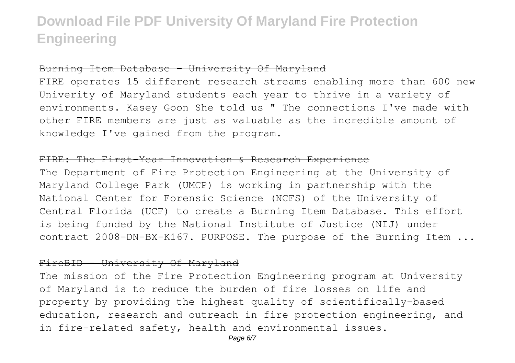### Burning Item Database - University Of Maryland

FIRE operates 15 different research streams enabling more than 600 new Univerity of Maryland students each year to thrive in a variety of environments. Kasey Goon She told us " The connections I've made with other FIRE members are just as valuable as the incredible amount of knowledge I've gained from the program.

#### FIRE: The First-Year Innovation & Research Experience

The Department of Fire Protection Engineering at the University of Maryland College Park (UMCP) is working in partnership with the National Center for Forensic Science (NCFS) of the University of Central Florida (UCF) to create a Burning Item Database. This effort is being funded by the National Institute of Justice (NIJ) under contract 2008-DN-BX-K167. PURPOSE. The purpose of the Burning Item ...

### FireBID - University Of Maryland

The mission of the Fire Protection Engineering program at University of Maryland is to reduce the burden of fire losses on life and property by providing the highest quality of scientifically-based education, research and outreach in fire protection engineering, and in fire-related safety, health and environmental issues.